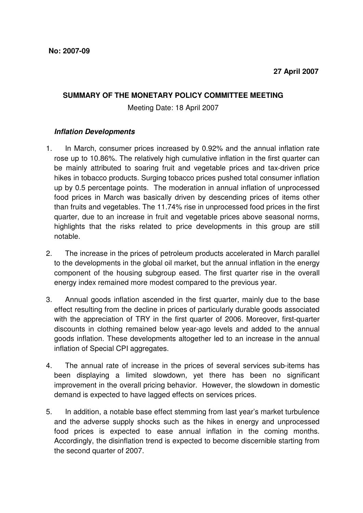## **SUMMARY OF THE MONETARY POLICY COMMITTEE MEETING**

Meeting Date: 18 April 2007

## **Inflation Developments**

- 1. In March, consumer prices increased by 0.92% and the annual inflation rate rose up to 10.86%. The relatively high cumulative inflation in the first quarter can be mainly attributed to soaring fruit and vegetable prices and tax-driven price hikes in tobacco products. Surging tobacco prices pushed total consumer inflation up by 0.5 percentage points. The moderation in annual inflation of unprocessed food prices in March was basically driven by descending prices of items other than fruits and vegetables. The 11.74% rise in unprocessed food prices in the first quarter, due to an increase in fruit and vegetable prices above seasonal norms, highlights that the risks related to price developments in this group are still notable.
- 2. The increase in the prices of petroleum products accelerated in March parallel to the developments in the global oil market, but the annual inflation in the energy component of the housing subgroup eased. The first quarter rise in the overall energy index remained more modest compared to the previous year.
- 3. Annual goods inflation ascended in the first quarter, mainly due to the base effect resulting from the decline in prices of particularly durable goods associated with the appreciation of TRY in the first quarter of 2006. Moreover, first-quarter discounts in clothing remained below year-ago levels and added to the annual goods inflation. These developments altogether led to an increase in the annual inflation of Special CPI aggregates.
- 4. The annual rate of increase in the prices of several services sub-items has been displaying a limited slowdown, yet there has been no significant improvement in the overall pricing behavior. However, the slowdown in domestic demand is expected to have lagged effects on services prices.
- 5. In addition, a notable base effect stemming from last year's market turbulence and the adverse supply shocks such as the hikes in energy and unprocessed food prices is expected to ease annual inflation in the coming months. Accordingly, the disinflation trend is expected to become discernible starting from the second quarter of 2007.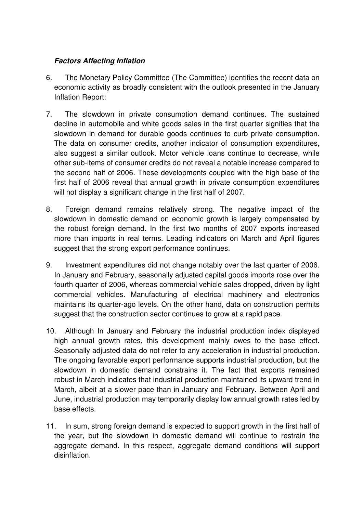## **Factors Affecting Inflation**

- 6. The Monetary Policy Committee (The Committee) identifies the recent data on economic activity as broadly consistent with the outlook presented in the January Inflation Report:
- 7. The slowdown in private consumption demand continues. The sustained decline in automobile and white goods sales in the first quarter signifies that the slowdown in demand for durable goods continues to curb private consumption. The data on consumer credits, another indicator of consumption expenditures, also suggest a similar outlook. Motor vehicle loans continue to decrease, while other sub-items of consumer credits do not reveal a notable increase compared to the second half of 2006. These developments coupled with the high base of the first half of 2006 reveal that annual growth in private consumption expenditures will not display a significant change in the first half of 2007.
- 8. Foreign demand remains relatively strong. The negative impact of the slowdown in domestic demand on economic growth is largely compensated by the robust foreign demand. In the first two months of 2007 exports increased more than imports in real terms. Leading indicators on March and April figures suggest that the strong export performance continues.
- 9. Investment expenditures did not change notably over the last quarter of 2006. In January and February, seasonally adjusted capital goods imports rose over the fourth quarter of 2006, whereas commercial vehicle sales dropped, driven by light commercial vehicles. Manufacturing of electrical machinery and electronics maintains its quarter-ago levels. On the other hand, data on construction permits suggest that the construction sector continues to grow at a rapid pace.
- 10. Although In January and February the industrial production index displayed high annual growth rates, this development mainly owes to the base effect. Seasonally adjusted data do not refer to any acceleration in industrial production. The ongoing favorable export performance supports industrial production, but the slowdown in domestic demand constrains it. The fact that exports remained robust in March indicates that industrial production maintained its upward trend in March, albeit at a slower pace than in January and February. Between April and June, industrial production may temporarily display low annual growth rates led by base effects.
- 11. In sum, strong foreign demand is expected to support growth in the first half of the year, but the slowdown in domestic demand will continue to restrain the aggregate demand. In this respect, aggregate demand conditions will support disinflation.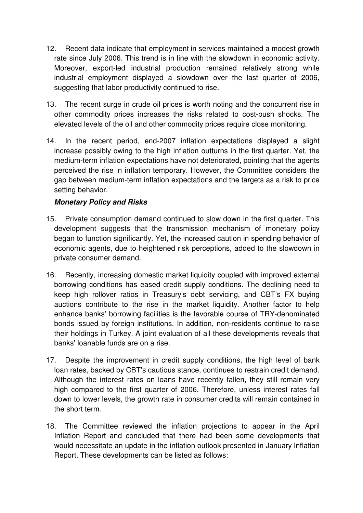- 12. Recent data indicate that employment in services maintained a modest growth rate since July 2006. This trend is in line with the slowdown in economic activity. Moreover, export-led industrial production remained relatively strong while industrial employment displayed a slowdown over the last quarter of 2006, suggesting that labor productivity continued to rise.
- 13. The recent surge in crude oil prices is worth noting and the concurrent rise in other commodity prices increases the risks related to cost-push shocks. The elevated levels of the oil and other commodity prices require close monitoring.
- 14. In the recent period, end-2007 inflation expectations displayed a slight increase possibly owing to the high inflation outturns in the first quarter. Yet, the medium-term inflation expectations have not deteriorated, pointing that the agents perceived the rise in inflation temporary. However, the Committee considers the gap between medium-term inflation expectations and the targets as a risk to price setting behavior.

## **Monetary Policy and Risks**

- 15. Private consumption demand continued to slow down in the first quarter. This development suggests that the transmission mechanism of monetary policy began to function significantly. Yet, the increased caution in spending behavior of economic agents, due to heightened risk perceptions, added to the slowdown in private consumer demand.
- 16. Recently, increasing domestic market liquidity coupled with improved external borrowing conditions has eased credit supply conditions. The declining need to keep high rollover ratios in Treasury's debt servicing, and CBT's FX buying auctions contribute to the rise in the market liquidity. Another factor to help enhance banks' borrowing facilities is the favorable course of TRY-denominated bonds issued by foreign institutions. In addition, non-residents continue to raise their holdings in Turkey. A joint evaluation of all these developments reveals that banks' loanable funds are on a rise.
- 17. Despite the improvement in credit supply conditions, the high level of bank loan rates, backed by CBT's cautious stance, continues to restrain credit demand. Although the interest rates on loans have recently fallen, they still remain very high compared to the first quarter of 2006. Therefore, unless interest rates fall down to lower levels, the growth rate in consumer credits will remain contained in the short term.
- 18. The Committee reviewed the inflation projections to appear in the April Inflation Report and concluded that there had been some developments that would necessitate an update in the inflation outlook presented in January Inflation Report. These developments can be listed as follows: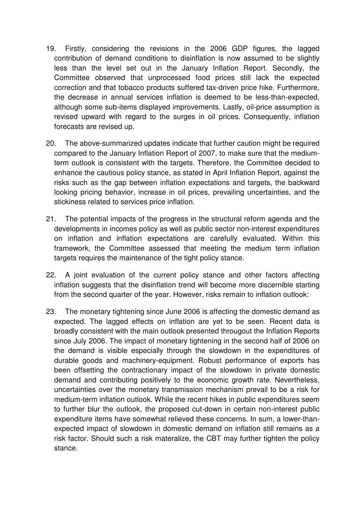- 19. Firstly, considering the revisions in the 2006 GDP figures, the lagged contribution of demand conditions to disinflation is now assumed to be slightly less than the level set out in the January Inflation Report. Secondly, the Committee observed that unprocessed food prices still lack the expected correction and that tobacco products suffered tax-driven price hike. Furthermore, the decrease in annual services inflation is deemed to be less-than-expected, although some sub-items displayed improvements. Lastly, oil-price assumption is revised upward with regard to the surges in oil prices. Consequently, inflation forecasts are revised up.
- 20. The above-summarized updates indicate that further caution might be required compared to the January Inflation Report of 2007, to make sure that the mediumterm outlook is consistent with the targets. Therefore, the Committee decided to enhance the cautious policy stance, as stated in April Inflation Report, against the risks such as the gap between inflation expectations and targets, the backward looking pricing behavior, increase in oil prices, prevailing uncertainties, and the stickiness related to services price inflation.
- 21. The potential impacts of the progress in the structural reform agenda and the developments in incomes policy as well as public sector non-interest expenditures on inflation and inflation expectations are carefully evaluated. Within this framework, the Committee assessed that meeting the medium term inflation targets requires the maintenance of the tight policy stance.
- 22. A joint evaluation of the current policy stance and other factors affecting inflation suggests that the disinflation trend will become more discernible starting from the second quarter of the year. However, risks remain to inflation outlook:
- 23. The monetary tightening since June 2006 is affecting the domestic demand as expected. The lagged effects on inflation are yet to be seen. Recent data is broadly consistent with the main outlook presented througout the Inflation Reports since July 2006. The impact of monetary tightening in the second half of 2006 on the demand is visible especially through the slowdown in the expenditures of durable goods and machinery-equipment. Robust performance of exports has been offsetting the contractionary impact of the slowdown in private domestic demand and contributing positively to the economic growth rate. Nevertheless, uncertainties over the monetary transmission mechanism prevail to be a risk for medium-term inflation outlook. While the recent hikes in public expenditures seem to further blur the outlook, the proposed cut-down in certain non-interest public expenditure items have somewhat relieved these concerns. In sum, a lower-thanexpected impact of slowdown in domestic demand on inflation still remains as a risk factor. Should such a risk materalize, the CBT may further tighten the policy stance.